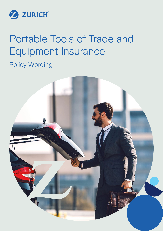

# Portable Tools of Trade and Equipment Insurance

Policy Wording

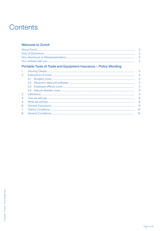# Contents

# **Welcome to Zurich**

| Portable Tools of Trade and Equipment Insurance – Policy Wording |  |
|------------------------------------------------------------------|--|
| 1 Insuring Clause                                                |  |

| 2.      |                         |
|---------|-------------------------|
|         |                         |
|         |                         |
|         | $\overline{\mathbf{3}}$ |
|         |                         |
| $3_{-}$ |                         |
| 4.      |                         |
| 5.      | - 9                     |
| 6.      | 9                       |
| 7.      | 13                      |
| 8.      | 14                      |
|         |                         |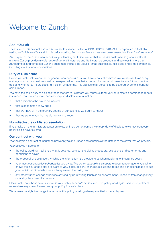# Welcome to Zurich

# About Zurich

The insurer of this product is Zurich Australian Insurance Limited, ABN 13 000 296 640 (ZAIL incorporated in Australia) trading as Zurich New Zealand. In this policy wording, Zurich New Zealand may also be expressed as 'Zurich', 'we', 'us' or 'our'.

ZAIL is part of the Zurich Insurance Group, a leading multi-line insurer that serves its customers in global and local markets. Zurich provides a wide range of general insurance and life insurance products and services in more than 210 countries and territories. Zurich's customers include individuals, small businesses, mid-sized and large companies, including multinational corporations.

# Duty of Disclosure

Before *you* enter into a contract of general insurance with us, *you* have a duty at common law to disclose to us every matter *you* know, or could reasonably be expected to know that a prudent insurer would want to take into account in deciding whether to insure *you* and, if so, on what terms. This applies to all persons to be covered under this contract of insurance.

You have the same duty to disclose those matters to us before *you* renew, extend, vary or reinstate a contract of general insurance. *Your* duty however, does not require disclosure of a matter:

- that diminishes the risk to be insured:
- that is of common knowledge;
- that we know or in the ordinary course of our business we ought to know;
- that we state to *you* that we do not want to know.

# Non-disclosure or Misrepresentation

If *you* make a material misrepresentation to us, or if *you* do not comply with *your* duty of disclosure we may treat *your* policy as if it never existed.

# Our contract with you

*Your* policy is a contract of insurance between *you* and Zurich and contains all the details of the cover that we provide.

*Your* policy is made up of:

- the policy wording. It tells *you* what is covered, sets out the claims procedure, exclusions and other terms and conditions of cover;
- the proposal, or declaration, which is the information *you* provide to us when applying for insurance cover;
- *your* most current policy *schedule* issued by us. The policy *schedule* is a separate document unique to *you*, which shows the insurance details relevant to *you*. It includes any changes, exclusions, terms and conditions made to suit *your* individual circumstances and may amend the policy; and
- any other written change otherwise advised by us in writing (such as an endorsement). These written changes vary or modify the above documents.

Please note, only those covers shown in *your* policy *schedule* are insured. This policy wording is used for any offer of renewal we may make. Please keep *your* policy in a safe place.

We reserve the right to change the terms of this policy wording where permitted to do so by law.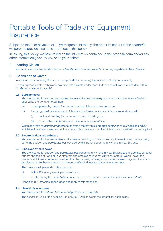# Portable Tools of Trade and Equipment **Insurance**

Subject to the prior payment of, or *your* agreement to pay, the premium set out in the *schedule*, we agree to provide insurance as set out in this policy.

In issuing this policy, we have relied on the information contained in the proposal form and/or any other information given by *you* or on *your* behalf.

# 1. Insuring Clause

*You* are insured for any sudden and *accidental loss* to *insured property* occurring anywhere in New Zealand.

# 2. Extensions of Cover

In addition to the Insuring Clause, we also provide the following Extensions of Cover automatically.

Unless expressly stated otherwise, any amounts payable under these Extensions of Cover are included within 5.1 'Maximum amount payable'.

#### 2.1 Burglary cover

 *You* are insured for sudden and *accidental loss* to *insured property* occurring anywhere in New Zealand caused by theft or attempted theft:

- (a) accompanied by threat of violence, or actual violence to any person; or
- (b) involving physical evidence of violent and forcible entry to, or exit from a securely locked:
	- (i) enclosed building (or part of an enclosed building); or
	- (ii) motor vehicle, *fully enclosed trailer* or *storage container*.

 Where the theft of *insured property* occurs from a motor vehicle, *storage container* or *fully enclosed trailer*  which itself has been stolen and not recovered, physical evidence of forcible entry to or exit will not be required.

#### 2.2 Electronic data and software

 *You* are insured for the loss of *data* and *software* resulting from electronic equipment insured by this policy suffering sudden and *accidental loss* covered by this policy occurring anywhere in New Zealand.

# 2.3 Employee effects cover

 *You* are insured for sudden and *accidental loss* occurring anywhere in New Zealand to the clothing, personal effects and tools of trade of *your* directors and employees (but not *your* contractors). We will cover this property as if it were *contents*, provided that the property is being worn, carried or used by *your* directors or employees while they are acting in the course of their directors' duties or employment.

The most we will pay under this extension:

- (i) is \$5,000 for any *event*, per person; and
- (ii) in total during the *period of insurance* is the sum insured shown in the *schedule* for *contents*.

Condition 8.7 'Other insurance' does not apply to this extension.

#### 2.4 Natural disaster cover

 *You* are insured for *natural disaster damage* to *insured property*.

The *excess* is 2.5% of the sum insured or \$2,500, whichever is the greater, for each *event*.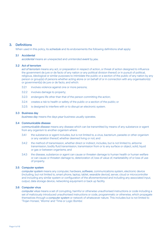# 3. Definitions

When used in this policy, its *schedule* and its endorsements the following definitions shall apply:

#### 3.1 Accidental

*accidental* means an unexpected and unintended *event* by *you*.

#### 3.2 Act of terrorism

 *act of terrorism* means any act, or preparation in respect of action, or threat of action designed to influence the government de jure or de facto of any nation or any political division thereof, or in pursuit of political, religious, ideological or similar purposes to intimidate the public or a section of the public of any nation by any person or group(s) of persons whether acting alone or on behalf of or in connection with any organisation(s) or government(s) de jure or de facto, and which:

- 3.2.1 involves violence against one or more persons;
- 3.2.2 involves damage to property;
- 3.2.3 endangers life other than that of the person committing the action;
- 3.2.4 creates a risk to health or safety of the public or a section of the public; or
- 3.2.5 is designed to interfere with or to disrupt an electronic system.

#### 3.3 Business day

*business day* means the days *your* business usually operates.

#### 3.4 Communicable disease

 *communicable disease* means any disease which can be transmitted by means of any substance or agent from any organism to another organism where:

- 3.4.1 the substance or agent includes, but is not limited to, a virus, bacterium, parasite or other organism or any variation thereof, whether deemed living or not; and
- 3.4.2 the method of transmission, whether direct or indirect, includes, but is not limited to, airborne transmission, bodily fluid transmission, transmission from or to any surface or object, solid, liquid or gas or between organisms; and
- 3.4.3 the disease, substance or agent can cause or threaten damage to human health or human welfare or can cause or threaten damage to, deterioration of, loss of value of, marketability of or loss of use of property.

#### 3.5 Computer system

 *computer system* means any computer, hardware, *software*, communications system, electronic device (including, but not limited to, smart phone, laptop, tablet, wearable device), server, cloud or microcontroller and including any similar system or configuration of the aforementioned and including any associated input, output, data storage device, networking equipment or back up facility.

# 3.6 Computer virus

 *computer virus* means a set of corrupting, harmful or otherwise unauthorised instructions or code including a set of maliciously introduced unauthorised instructions or code, programmatic or otherwise, which propagate themselves through a *computer system* or network of whatsoever nature. This includes but is not limited to 'Trojan Horses', 'Worms' and 'Time or Logic Bombs'.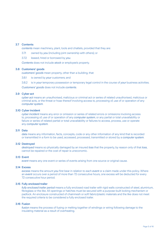# 3.7 Contents

 *contents* mean machinery, plant, tools and chattels, provided that they are:

- 3.7.1 owned by *you* (including joint ownership with others); or
- 3.7.2 leased, hired or borrowed by *you*.

*Contents* does not include *stock* or employee's property.

#### 3.8 Customers' goods

 *customers' goods* mean property, other than a building, that:

3.8.1 is owned by *your* customers; and

3.8.2 is in *your* temporary possession or temporary legal control in the course of *your* business activities.

*Customers' goods* does not include *contents*.

#### 3.9 Cyber act

 *cyber act* means an unauthorised, malicious or criminal act or series of related unauthorised, malicious or criminal acts, or the threat or hoax thereof involving access to, processing of, use of or operation of any *computer system*.

#### 3.10 Cyber incident

 *cyber incident* means any error or omission or series of related errors or omissions involving access to, processing of, use of or operation of any *computer system*, or any partial or total unavailability or failure or series of related partial or total unavailability or failures to access, process, use or operate any *computer system*.

# 3.11 Data

*data* means any information, facts, concepts, code or any other information of any kind that is recorded or transmitted in a form to be used, accessed, processed, transmitted or stored by a *computer system*.

#### 3.12 Destroyed

 *destroyed* means so physically damaged by an insured *loss* that the property, by reason only of that *loss*, cannot be repaired or the cost of repair is uneconomic.

#### 3.13 Event

*event* means any one event or series of events arising from one source or original cause.

#### 3.14 Excess

 *excess* means the amount *you* first bear in relation to each *event* or a claim made under this policy. Where an *event* occurs over a period of more than 72 consecutive hours, one excess will be deducted for every 72 consecutive hour period.

#### 3.15 Fully enclosed trailer

 *fully enclosed trailer period* means a fully enclosed road trailer with rigid walls constructed of steel, aluminium, fibreglass or the like. All openings or hatches must be secured with a purpose-built locking mechanism or padlock. An enclosure constructed of chainmesh or soft fabric/plastic materials and the like does not meet the required criteria to be considered a fully enclosed trailer.

#### 3.16 Fusion

 *fusion* means the process of fusing or melting together of windings or wiring following damage to the insulating material as a result of overheating.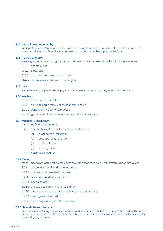#### 3.17 Immediately preceded by

 *immediately preceded by* means the *event* occurring in sequence immediately prior to the *loss*. If there is a chain of events, this will be the last event occurring immediately prior to the *loss*.

#### 3.18 Insured property

 *insured property* means tangible property shown in the *schedule* within the following categories:

- 3.18.1 *contents*; and
- 3.18.2 *stock*; and
- 3.18.3 any other tangible property listed.

*Data* and *software* are deemed to be tangible.

#### 3.19 Loss

 *loss* means any physical loss or physical damage occurring during the *period of insurance*.

#### 3.20 Machine

 *machine* means any device that:

- 3.20.1 converts and directs motion or energy; and/or
- 3.20.2 performs any electronic process,

including any protective component connected with that device.

#### 3.21 Machinery breakdown

 *machinery breakdown* means:

- 3.21.1 any mechanical, hydraulic, electrical or electronic:
	- (a) breakdown or failure; or
	- (b) cessation of function; or
	- (c) malfunction; or
	- (d) derangement; or
- 3.21.2 *fusion* of any nature.

#### 3.22 Money

 *money* means any of the following, where they are associated solely with *your* business operations:

- 3.22.1 current coin, bank and currency notes;
- 3.22.2 cheques and travellers' cheques;
- 3.22.3 bank drafts and money orders;
- 3.22.4 phone cards;
- 3.22.5 unused postage and revenue stamp;
- 3.22.6 credit card vouchers, redeemable vouchers and tokens;
- 3.22.7 franking machine credits;
- 3.22.8 other tangible negotiable instruments.

#### 3.23 Natural disaster damage

 *natural disaster damage* means any sudden and *accidental loss* that results directly or indirectly from earthquake, subterranean fire, volcanic activity, tsunami, geothermal activity, hydrothermal activity, or fire caused by any of these.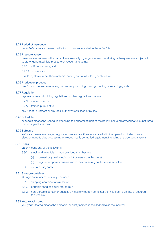#### 3.24 Period of insurance

 *period of insurance* means the Period of Insurance stated in the *schedule*.

#### 3.25 Pressure vessel

 *pressure vessel* means the parts of any *insured property* or vessel that during ordinary use are subjected to either generated fluid pressure or vacuum, including:

- 3.25.1 all integral parts; and
- 3.25.2 controls; and
- 3.25.3 systems (other than systems forming part of a building or structure).

# 3.26 Production process

 *production process* means any process of producing, making, treating or servicing goods.

#### 3.27 Regulation

 *regulation* means building regulations or other regulations that are:

3.27.1 made under; or

3.27.2 framed pursuant to,

any Act of Parliament or any local authority regulation or by-law.

#### 3.28 Schedule

 *schedule* means the Schedule attaching to and forming part of the policy, including any *schedule* substituted for the original *schedule*.

# 3.29 Software

 *software* means any programs, procedures and routines associated with the operation of electronic or electromagnetic data processing or electronically controlled equipment including any operating system.

#### 3.30Stock

 *stock* means any of the following:

- 3.30.1 stock and materials in trade provided that they are:
	- (a) owned by *you* (including joint ownership with others); or
	- (b) in *your* temporary possession in the course of *your* business activities.
- 3.30.2 *customers' goods*.

#### 3.31 Storage container

 *storage container* means fully enclosed:

- 3.31.1 shipping container or similar; or
- 3.31.2 portable shed or similar structure; or
- 3.31.3 non-portable container, such as a metal or wooden container that has been built into or secured to a vehicle.

#### 3.32 You, Your, Insured

 *you*, *your*, *insured* means the person(s) or entity named in the *schedule* as the Insured.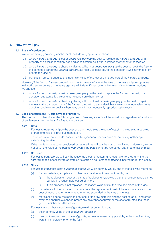# 4. How we will pay

#### 4.1 Basis of settlement

We will indemnify *you* using whichever of the following options we choose:

- 4.1.1 where *insured property* is lost or *destroyed*: pay *you* the cost to replace the *insured property* with property of a similar condition, age and specification, as it was in, immediately prior to the *loss*; or
- 4.1.2 where *insured property* is physically damaged but not *destroyed*: pay *you* the cost to repair the *loss* to the damaged part of the *insured property*, as nearly as possible, to the condition it was in immediately prior to the *loss*; or
- 4.1.3 pay *you* an amount equal to the indemnity value of the lost or damaged part of the *insured property*.

 However, if the item of *insured property* is under two years of age at the time of the *loss* and *you* supply us with sufficient evidence of the item's age, we will indemnify *you* using whichever of the following options we choose:

- (i) where *insured property* is lost or *destroyed*: pay *you* the cost to replace the *insured property* to a condition substantially the same as its condition when new; or
- (ii) where *insured property* is physically damaged but not lost or *destroyed*: pay *you* the cost to repair the *loss* to the damaged part of the *insured property* to a standard that is reasonably equivalent to its condition and relative quality when new, but without necessarily reproducing it exactly.

#### 4.2 Basis of settlement – Certain types of property

 The method of indemnity for the following types of *insured property* will be as follows, regardless of any basis of settlement shown in the *schedule* to the contrary.

# 4.2.1 Data

 For *loss* to *data*, we will pay the cost of blank media plus the cost of copying the *data* from back-up or from originals of a previous generation.

 These costs will not include research and engineering, nor any costs of recreating, gathering or assembling the *data*.

 If the media is not repaired, replaced or restored, we will pay the cost of blank media. However, we do not cover the value of the *data* to *you*, even if the *data* cannot be recreated, gathered or assembled.

# 4.2.2 Software

 For *loss* to *software*, we will pay the reasonable cost of restoring, re-setting or re-programming the *software* that is necessary to operate any electronic equipment or *machine* insured under this policy.

#### 4.2.3 Stock

For *loss* to *stock* that is not *customers' goods*, we will indemnify *you* by one of the following methods:

- (a) for raw materials, supplies and other merchandise not manufactured by *you*:
	- (i) the replacement cost at the time of replacement, provided that the replacement is carried out within a reasonable period of time; or
	- (ii) if this property is not replaced, the market value of it at the time and place of the *loss*.
- (b) for materials in the process of manufacture: the replacement cost of the raw materials and the cost of labour and other overhead charges expended at the time of the *loss*.
- (c) for finished goods: the replacement cost of the raw materials and the cost of labour and other overhead charges expended before any allowance for profit, or the cost of re-stocking these goods, whichever is the lesser.

For *loss* to *stock* that is *customers' goods*, we will at our option pay:

- (a) the indemnity value of the *customers' goods*; or
- (b) the cost to repair the *customers' goods*, as near as reasonably possible, to the condition they were in immediately prior to the *loss*.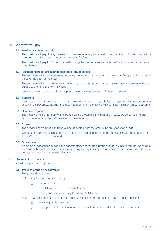# 5. What we will pay

#### 5.1 Maximum amount payable

 The most we will pay during the *period of insurance* for any individually specified item of *insured property* is the corresponding sum insured shown in the *schedule*.

 The most we will pay for *insured property* during the *period of insurance* is the 'Total Sum insured' shown in the *schedule*.

#### 5.2 Reinstatement of sum insured once repaired / replaced

 The sum insured will only be reinstated once the repair or replacement of the *insured property* that suffered the *loss* has been completed.

 The sum insured will not reinstate following any claim arising from *natural disaster damage* unless we have agreed to the reinstatement in writing.

We may ask *you* to pay an additional premium for any reinstatement of the sum insured.

#### 5.3 Sub limits

 If any sub limit in this policy is higher than the maximum amount payable for the applicable *insured property* as shown in the *schedule*, the sub limit does not apply and the most we will pay is the maximum amount payable.

#### 5.4 Customers' goods

 The most we will pay for *customers' goods* during the *period of insurance* is \$20,000 unless a different amount for *customers' goods* is shown in the *schedule*.

### 5.5 Excess

The *excess* shown in the *schedule* will be deducted from the amount payable for each *event*.

 Where an *event* occurs over a period of more than 72 consecutive hours, one *excess* will be deducted for every 72 consecutive hour period.

# 5.6 One excess

 If a single *event* causes sudden and *accidental loss* to tangible property that *you* insure with us under more than one policy, only one *excess* will apply, being the highest applicable individual policy *excess*. This does not apply to any *natural disaster damage*.

## 6. General Exclusions

We will not pay anything in respect of:

#### 6.1 Types of property not covered

This policy does not insure:

- 6.1.1 any *insured property* during:
	- (i) demolition; or
	- (ii) installation, construction or erection; or
	- (iii) testing and commissioning following 6.1.1 (ii) above.
- 6.1.2 jewellery, precious stones, furs, precious metals or bullion, except if any of these items are:
	- (i) *stock* of *your* business; or
	- (ii) a component of any plant or machinery that is insured under this policy as *contents*.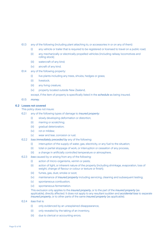- 6.1.3 any of the following (including plant attaching to, or accessories in or on any of them):
	- (i) any vehicle or trailer that is required to be registered or licensed to travel on a public road;
	- (ii) any mechanically or electrically propelled vehicles (including railway locomotives and rolling stock);
	- (iii) watercraft of any kind;
	- (iv) aircraft of any kind.
- 6.1.4 any of the following property:
	- (i) live plants including any trees, shrubs, hedges or grass;
	- (ii) livestock:
	- (iii) any living creature;
	- (iv) property located outside New Zealand,

except, if the item of property is specifically listed in the *schedule* as being insured.

6.1.5 *money*.

# 6.2 Losses not covered

This policy does not insure:

- 6.2.1 any of the following types of damage to *insured property*:
	- (i) slowly developing deformation or distortion;
	- (ii) marring or scratching;
	- (iii) gradual deterioration;
	- (iv) rot or mildew;
	- (v) wear and tear, corrosion or rust.
- 6.2.2 *loss immediately preceded by* any of the following:
	- (i) interruption of the supply of water, gas, electricity, or any fuel to the situation;
	- (ii) total or partial stoppage of work, or interruption or cessation of any process,
	- (iii) a change in artificially controlled temperature or atmosphere.
- 6.2.3 *loss* caused by or arising from any of the following:
	- (i) action of micro-organisms, vermin or pests;
	- (ii) action of light, or inherent nature of the property (including shrinkage, evaporation, loss of weight, change of flavour or colour or texture or finish);
	- (iii) fumes, gas, dust, smoke or soot;
	- (iv) maintenance of *insured property* including servicing, cleaning and subsequent testing;
	- (v) spontaneous combustion;
	- (vi) spontaneous fermentation.

 This exclusion only applies to the *insured property*, or to the part of the *insured property* (as applicable), directly affected. It does not apply to any resultant sudden and *accidental loss* to separate *insured property*, or to other parts of the same *insured property* (as applicable).

- 6.2.4 *loss* that is:
	- (i) only evidenced by an unexplained disappearance,
	- (ii) only revealed by the taking of an inventory,
	- (iii) due to clerical or accounting errors.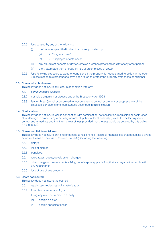#### 6.2.5 *loss* caused by any of the following:

- (i) theft or attempted theft, other than cover provided by:
	- (a) 2.1 'Burglary cover',
	- (b) 2.3 'Employee effects cover'.
- (ii) any fraudulent scheme or device, or false pretence practised on *you* or any other person,
- (iii) theft, attempted theft or fraud by *you* or an employee of *yours*.
- 6.2.5 *loss* following exposure to weather conditions if the property is not designed to be left in the open (unless reasonable precautions have been taken to protect the property from those conditions).

# 6.3 Communicable disease

This policy does not insure any *loss*, in connection with any:

- 6.3.1 *communicable disease*;
- 6.3.2 notifiable organism or disease under the Biosecurity Act 1993;
- 6.3.3 fear or threat (actual or perceived) or action taken to control or prevent or suppress any of the diseases, conditions or circumstances described in this exclusion.

#### 6.4 Confiscation

 This policy does not insure *loss* in connection with confiscation, nationalisation, requisition or destruction of, or damage to property by order of government, public or local authority (unless the order is given to control any immediate and imminent threat of *loss* provided that the *loss* would be covered by this policy if it did occur).

# 6.5 Consequential financial loss

 This policy does not insure any kind of consequential financial loss (e.g. financial loss that occurs as a direct or indirect result of the *loss* of *insured property*), including the following:

- 6.5.1 delays;
- 6.5.2 loss of market;
- 6.5.3 penalties;
- 6.5.4 rates, taxes, duties, development charges;
- 6.5.5 other charges or assessments arising out of capital appreciation, that are payable to comply with any *regulations*;
- 6.5.6 loss of use of any property.

#### 6.6 Costs not insured

This policy does not insure the cost of:

- 6.6.1 repairing or replacing faulty materials; or
- 6.6.2 fixing faulty workmanship; or
- 6.6.3 fixing any work performed to a faulty:
	- (a) design plan; or
	- (b) design specification; or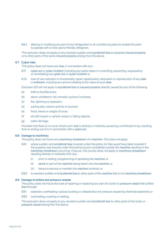6.6.4 altering or modifying any part of any refrigeration or air conditioning plant to enable the plant to operate with a more ozone friendly refrigerant.

 This exclusion does not apply to any resultant sudden and *accidental loss* to separate *insured property* or to other parts of the same *insured property* arising from the above.

#### 6.7 Cyber risks

This policy does not insure any *loss*, in connection with any:

- 6.7.1 *cyber act* or *cyber incident*, including any action taken in controlling, preventing, suppressing or remediating any *cyber act* or *cyber incident*; or
- 6.7.2 loss of use, reduction in functionality, repair, replacement, restoration or reproduction of any *data* or *software*, including any amount relating to the value of such *data*.

Exclusion 6.7.1 will not apply to *accidental loss* to *insured property* directly caused by any of the following:

- (a) theft or forcible entry;
- (b) storm, windstorm, hail, tornado, cyclone, hurricane;
- (c) fire, lightning or explosion;
- (d) earthquake, volcano activity or tsunami;
- (e) flood, freeze or weight of snow;
- (f) aircraft impact or vehicle impact or falling objects;
- (g) water damage;

 Provided that there is no cover where such *loss* is directly or indirectly caused by, contributed to by, resulting from or arising out of or in connection with a *cyber act*.

#### 6.8 Damage to machinery

This policy does not insure any *machinery breakdown* of a *machine*. This does not apply:

- 6.8.1 where sudden and *accidental loss* covered under this policy (or that would have been covered if the property was insured under this policy) occurs completely outside the *machine* resulting in the *machinery breakdown* occurring. However, this proviso does not apply to *machinery breakdown* resulting directly or indirectly from any:
	- (i) error in: setting, programming or operating the *machine*; or
	- (ii) *stock* or part of the *machine* being drawn into the *machine*; or
	- (iii) failure to service or maintain the *machine* correctly; or
- 6.8.2 to resultant sudden and *accidental loss* to other parts of the *machine* that is not *machinery breakdown*.

#### 6.9 Damage to boilers and pressure vessels

 This policy does not insure the cost of repairing or replacing any part of a boiler or *pressure vessel* that suffers *loss* through:

- 6.9.1 explosion, overheating, rupture, bursting or collapse (but not pressure caused by chemical explosion); or
- 6.9.2 overheating, cracking or leaking.

 This exclusion does not apply to any resultant sudden and *accidental loss* to other parts of the boiler or *pressure vessel* arising from the above.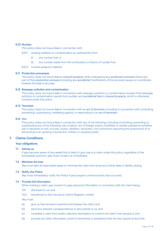#### 6.10 Nuclear

This policy does not insure *loss* in connection with:

- 6.10.1 ionising radiation or contamination by radioactivity from:
	- (i) any nuclear fuel; or
	- (ii) any nuclear waste from the combustion or fission of nuclear fuel.
- 6.10.2 nuclear weapons material.

#### 6.11 Production processes

 This policy does not insure *loss* to *insured property* while undergoing any *production process* where any part of that *production process* (including any *accidental* modification of the process) causes or contributes towards the *loss* in any way.

#### 6.12 Seepage, pollution and contamination

 This policy does not insure *loss* in connection with seepage, pollution or contamination except if the seepage, pollution or contamination results from sudden and *accidental loss* to *insured property*, which is otherwise covered under this policy.

#### 6.13 Terrorism

 This policy does not insure *loss* in connection with an *act of terrorism*, including in connection with controlling, preventing, suppressing, retaliating against, or responding to an *act of terrorism*.

# 6.14 War

 This policy does not insure *loss* in connection with any of the following, including controlling, preventing or suppressing any of the following: war, invasion, act of foreign enemy, hostilities or warlike operations (whether war is declared or not), civil war, mutiny, rebellion, revolution, civil commotion assuming the proportions of or amounting to an uprising, insurrection, military or usurped power.

# 7. Claims Conditions

#### Your obligations

## 7.1 Advise us

 If *you* become aware of any *event* that is likely to give rise to a claim under this policy regardless of the anticipated quantum, *you* must contact us immediately.

#### 7.2 Minimise the loss

*You* must take all reasonable steps to minimise the claim and avoid any further *loss* or liability arising.

#### 7.3 Notify the Police

*You* must immediately notify the Police if *you* suspect criminal activity has occurred.

#### 7.4 Provide full information

When making a claim, *you* consent to *your* personal information in connection with the claim being:

- 7.4.1 disclosed to us; and
- 7.4.2 transferred to the Insurance Claims Register Limited.

*You* must:

- (a) give us free access to examine and assess the claim; and
- (b) send any relevant correspondence or documents to us; and
- (c) complete a claim form and/or statutory declaration to confirm the claim if we request it; and
- (d) provide any other information, proof of ownership or assistance that we may require at any time.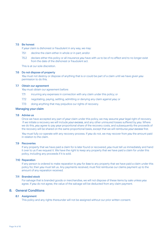#### 7.5 Be honest

If *your* claim is dishonest or fraudulent in any way, we may:

- 7.5.1 decline the claim either in whole or in part; and/or
- 7.5.2 declare either this policy or all insurance *you* have with us to be of no effect and to no longer exist from the date of the dishonest or fraudulent act.

This is at our sole discretion.

#### 7.6 Do not dispose of property

 *You* must not destroy or dispose of anything that is or could be part of a claim until we have given *you* permission to do this.

#### 7.7 Obtain our agreement

You must obtain our agreement before:

- 7.7.1 incurring any expenses in connection with any claim under this policy; or
- 7.7.2 negotiating, paying, settling, admitting or denying any claim against *you;* or
- 7.7.3 doing anything that may prejudice our rights of recovery.

#### Managing your claim

#### 7.8 Advise us

 Once we have accepted any part of *your* claim under this policy, we may assume *your* legal right of recovery. If we initiate a recovery we will include *your excess*, and any other uninsured losses suffered by *you*. Where we do this, *you* agree to pay *your* proportional share of the recovery costs, and subsequently the proceeds of the recovery will be shared on the same proportional basis, except that we will reimburse *your excess* first.

 *You* must fully co-operate with any recovery process. If *you* do not, we may recover from *you* the amount paid in relation to the claim.

# 7.9 Recoveries

 If any property that we have paid a claim for is later found or recovered, *you* must tell us immediately and hand it over to us if we request it. We have the right to keep any property that we have paid a claim for under this policy, including any proceeds if it is sold.

#### 7.10 Reparation

 If any person is ordered to make reparation to *you* for *loss* to any property that we have paid a claim under this policy for, then *you* must tell us. Any payments received, must first reimburse our claims payment up to the amount of any reparation received.

#### 7.11 Branded stock

 For salvage that is branded goods or merchandise, we will not dispose of these items by sale unless *you* agree. If *you* do not agree, the value of the salvage will be deducted from any claim payment.

# 8. General Conditions

#### 8.1 Assignment

This policy and any rights thereunder will not be assigned without our prior written consent.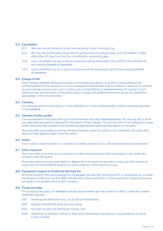# 8.2 Cancellation

- 8.2.1 *You* may cancel this policy at any time by giving notice in writing to us;
- 8.2.2 We may cancel this policy at any time by giving notice in writing to *you*, such cancellation to take effect after 30 days from the time of notification received by *you*;
- 8.2.3 Upon cancellation by *you*, a refund of premium will be allowed pro rata of 80% of the premium for the unexpired *period of insurance*;
- 8.2.4 Upon cancellation by us, a refund of premium will be allowed pro rata for the unexpired *period of insurance*.

#### 8.3 Change of risk

 Every change materially affecting the facts or circumstances degree or amount of risk existing at the commencement of this insurance or at any subsequent renewal date shall be notified in writing to us as soon as such change comes to the notice of *you* or any of *your* officers or representatives. On receipt of such notice we may vary the terms of this policy and/or charge such additional premium as we may determine appropriate in the circumstances.

#### 8.4 Currency

 Any amounts shown in this policy or in the *schedule* are in New Zealand dollars, unless otherwise specified in the *schedule*.

# 8.5 Interests of other parties

 If we are advised of any party having a financial interest over *your insured property*, we may pay part or all of any valid claim proceeds to that party to the extent of their interest. This will form part of our obligations to *you* under this policy. *You* consent to us transferring *your* relevant personal information to that party.

 Any party, who is recorded as having a financial interest under this policy, is not covered by this policy and does not have rights to claim under this policy.

# 8.6 Notice

Every notice or communication to us shall be in writing and sent to our office where the policy was issued.

#### 8.7 Other insurance

 *You* must notify us as soon as you know of any other insurance policy that covers *you* for any of the risks covered under this policy.

 This policy does not cover *your* liability or *loss* at all if it is insured to any extent under any other insurance policy. We will not contribute towards any claim under any other insurance policy.

#### 8.8 Payments in respect to Goods and Services Tax

 All sums insured in this policy (except for the *excess*) exclude GST where that GST is recoverable by us under the Goods and Services Tax Act 1985. We add GST, where applicable, to claim payments. However, this does not apply to the *excess* which is GST inclusive.

#### 8.9 Plurals and titles

 The proposal, this policy, its *schedule* and any endorsements are one contract in which, unless the context otherwise requires:

- 8.9.1 headings are descriptive only, not an aid to interpretation;
- 8.9.2 singular includes the plural and vice versa;
- 8.9.3 the male includes the female and neuter; and
- 8.9.4 references to positions, offices or titles shall include their equivalents in any jurisdiction in which a claim is made.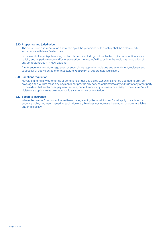#### 8.10 Proper law and jurisdiction

 The construction, interpretation and meaning of the provisions of this policy shall be determined in accordance with New Zealand law.

 In the event of any dispute arising under this policy including, but not limited to, its construction and/or validity and/or performance and/or interpretation, the *insured* will submit to the exclusive jurisdiction of any competent Court in New Zealand.

 A reference to any statute, *regulation* or subordinate legislation includes any amendment, replacement, successor or equivalent to or of that statute, *regulation* or subordinate legislation.

#### 8.11 Sanctions regulation

 Notwithstanding any other terms or conditions under this policy, Zurich shall not be deemed to provide coverage and will not make any payments nor provide any service or benefit to any *insured* or any other party to the extent that such cover, payment, service, benefit and/or any business or activity of the *insured* would violate any applicable trade or economic sanctions, law or *regulation*.

#### 8.12 Separate insurance

 Where the '*insured*' consists of more than one legal entity the word '*insured*' shall apply to each as if a separate policy had been issued to each. However, this does not increase the amount of cover available under this policy.